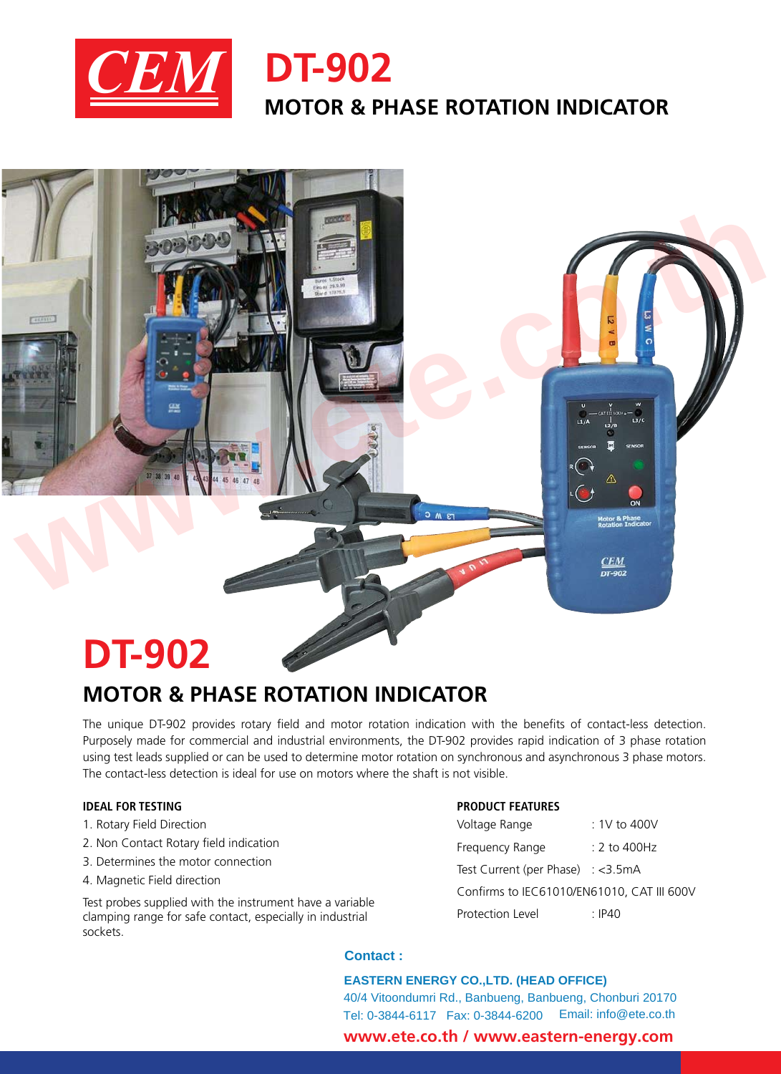

# **DT-902 MOTOR & PHASE ROTATION INDICATOR**

# **DT-902**

# **MOTOR & PHASE ROTATION INDICATOR**

The unique DT-902 provides rotary field and motor rotation indication with the benefits of contact-less detection. Purposely made for commercial and industrial environments, the DT-902 provides rapid indication of 3 phase rotation using test leads supplied or can be used to determine motor rotation on synchronous and asynchronous 3 phase motors. The contact-less detection is ideal for use on motors where the shaft is not visible.

**www.ete.co.th**

# **IDEAL FOR TESTING**

- 1. Rotary Field Direction
- 2. Non Contact Rotary field indication
- 3. Determines the motor connection
- 4. Magnetic Field direction

Test probes supplied with the instrument have a variable clamping range for safe contact, especially in industrial sockets.

# **PRODUCT FEATURES**

| Voltage Range                               | $:1V$ to 400V      |
|---------------------------------------------|--------------------|
| Frequency Range                             | $\cdot$ 2 to 400Hz |
| Test Current (per Phase) $: <3.5 \text{mA}$ |                    |
| Confirms to IEC61010/EN61010, CAT III 600V  |                    |
| Protection Level                            | $\cdot$ IP40       |

#### **Contact :**

 **www.ete.co.th / www.eastern-energy.com EASTERN ENERGY CO.,LTD. (HEAD OFFICE)** 40/4 Vitoondumri Rd., Banbueng, Banbueng, Chonburi 20170 Tel: 0-3844-6117 Fax: 0-3844-6200 Email: info@ete.co.th